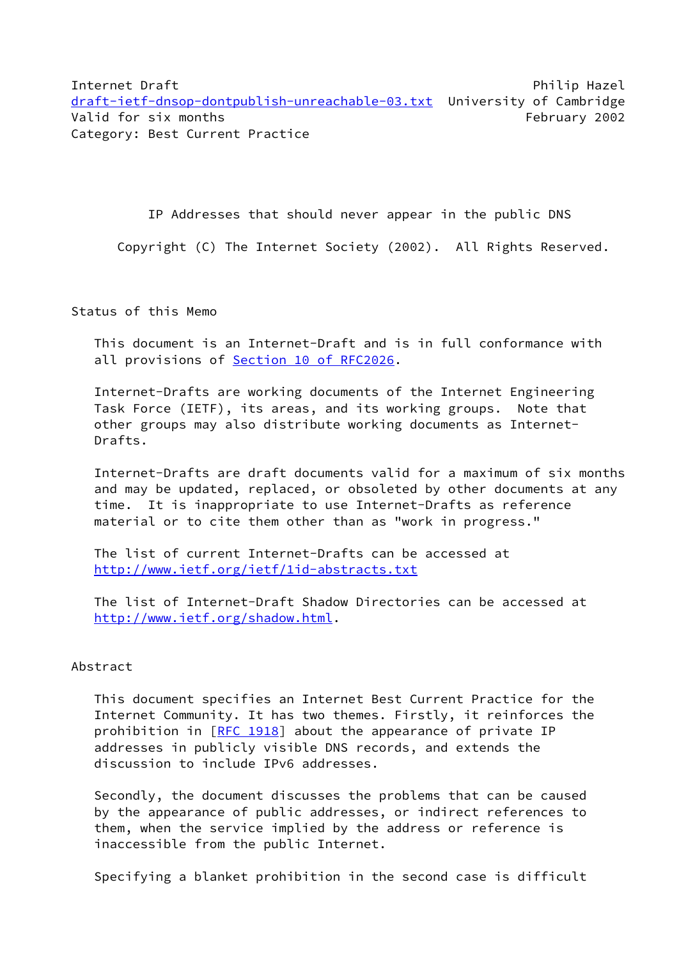Internet Draft **Philip Hazel** Philip Hazel [draft-ietf-dnsop-dontpublish-unreachable-03.txt](https://datatracker.ietf.org/doc/pdf/draft-ietf-dnsop-dontpublish-unreachable-03.txt) University of Cambridge Valid for six months **February 2002** Category: Best Current Practice

IP Addresses that should never appear in the public DNS

Copyright (C) The Internet Society (2002). All Rights Reserved.

Status of this Memo

 This document is an Internet-Draft and is in full conformance with all provisions of Section [10 of RFC2026.](https://datatracker.ietf.org/doc/pdf/rfc2026#section-10)

 Internet-Drafts are working documents of the Internet Engineering Task Force (IETF), its areas, and its working groups. Note that other groups may also distribute working documents as Internet- Drafts.

 Internet-Drafts are draft documents valid for a maximum of six months and may be updated, replaced, or obsoleted by other documents at any time. It is inappropriate to use Internet-Drafts as reference material or to cite them other than as "work in progress."

 The list of current Internet-Drafts can be accessed at <http://www.ietf.org/ietf/1id-abstracts.txt>

 The list of Internet-Draft Shadow Directories can be accessed at <http://www.ietf.org/shadow.html>.

## Abstract

 This document specifies an Internet Best Current Practice for the Internet Community. It has two themes. Firstly, it reinforces the prohibition in [\[RFC 1918](https://datatracker.ietf.org/doc/pdf/rfc1918)] about the appearance of private IP addresses in publicly visible DNS records, and extends the discussion to include IPv6 addresses.

 Secondly, the document discusses the problems that can be caused by the appearance of public addresses, or indirect references to them, when the service implied by the address or reference is inaccessible from the public Internet.

Specifying a blanket prohibition in the second case is difficult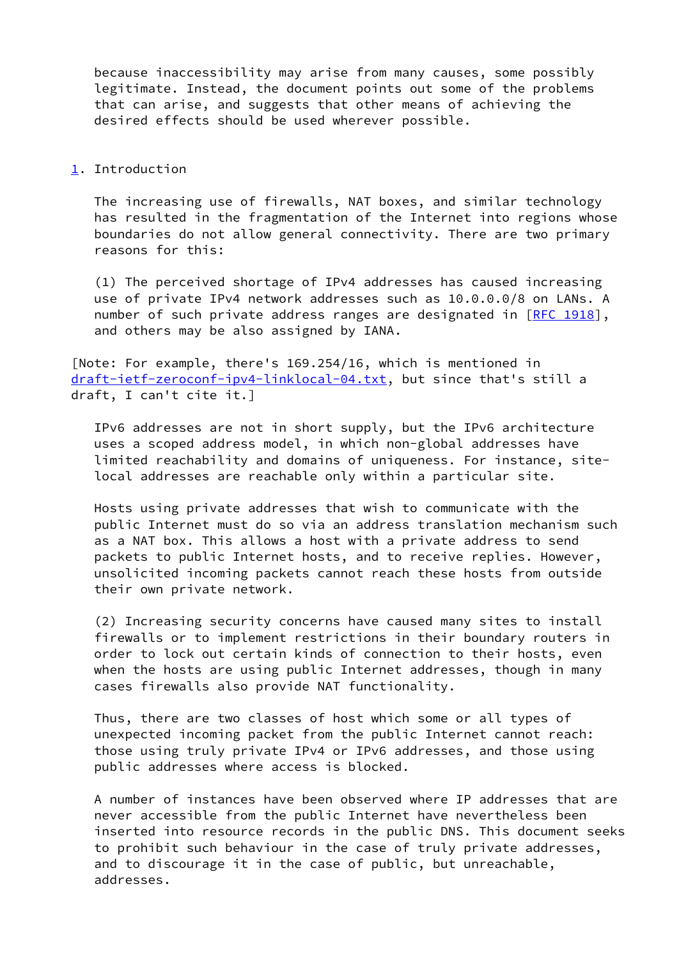because inaccessibility may arise from many causes, some possibly legitimate. Instead, the document points out some of the problems that can arise, and suggests that other means of achieving the desired effects should be used wherever possible.

## <span id="page-1-0"></span>[1](#page-1-0). Introduction

 The increasing use of firewalls, NAT boxes, and similar technology has resulted in the fragmentation of the Internet into regions whose boundaries do not allow general connectivity. There are two primary reasons for this:

 (1) The perceived shortage of IPv4 addresses has caused increasing use of private IPv4 network addresses such as 10.0.0.0/8 on LANs. A number of such private address ranges are designated in [\[RFC 1918](https://datatracker.ietf.org/doc/pdf/rfc1918)], and others may be also assigned by IANA.

[Note: For example, there's 169.254/16, which is mentioned in [draft-ietf-zeroconf-ipv4-linklocal-04.txt](https://datatracker.ietf.org/doc/pdf/draft-ietf-zeroconf-ipv4-linklocal-04.txt), but since that's still a draft, I can't cite it.]

 IPv6 addresses are not in short supply, but the IPv6 architecture uses a scoped address model, in which non-global addresses have limited reachability and domains of uniqueness. For instance, site local addresses are reachable only within a particular site.

 Hosts using private addresses that wish to communicate with the public Internet must do so via an address translation mechanism such as a NAT box. This allows a host with a private address to send packets to public Internet hosts, and to receive replies. However, unsolicited incoming packets cannot reach these hosts from outside their own private network.

 (2) Increasing security concerns have caused many sites to install firewalls or to implement restrictions in their boundary routers in order to lock out certain kinds of connection to their hosts, even when the hosts are using public Internet addresses, though in many cases firewalls also provide NAT functionality.

 Thus, there are two classes of host which some or all types of unexpected incoming packet from the public Internet cannot reach: those using truly private IPv4 or IPv6 addresses, and those using public addresses where access is blocked.

 A number of instances have been observed where IP addresses that are never accessible from the public Internet have nevertheless been inserted into resource records in the public DNS. This document seeks to prohibit such behaviour in the case of truly private addresses, and to discourage it in the case of public, but unreachable, addresses.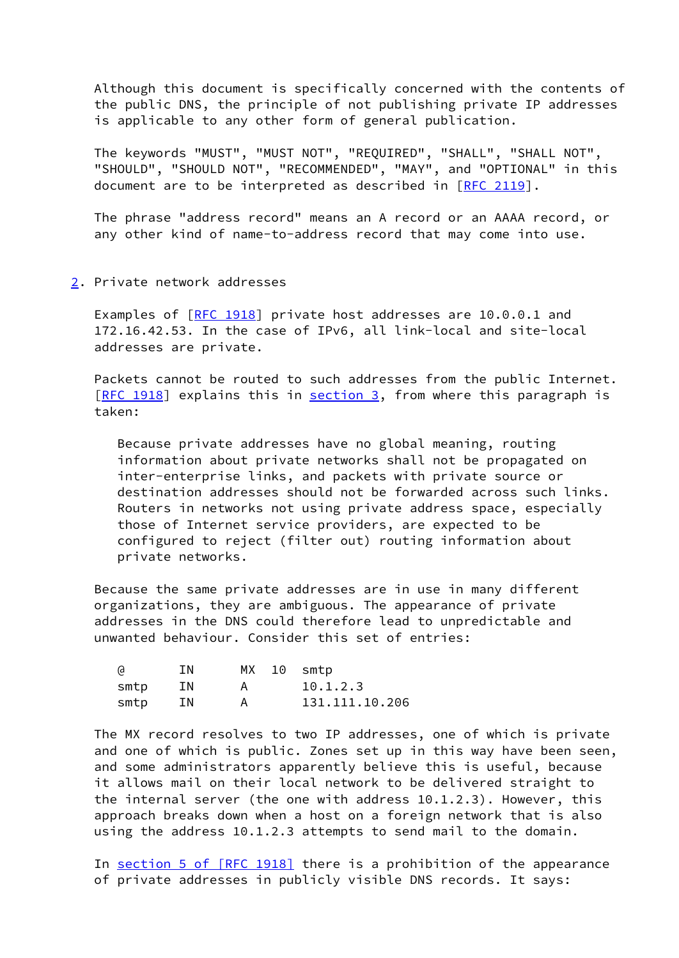Although this document is specifically concerned with the contents of the public DNS, the principle of not publishing private IP addresses is applicable to any other form of general publication.

 The keywords "MUST", "MUST NOT", "REQUIRED", "SHALL", "SHALL NOT", "SHOULD", "SHOULD NOT", "RECOMMENDED", "MAY", and "OPTIONAL" in this document are to be interpreted as described in [\[RFC 2119](https://datatracker.ietf.org/doc/pdf/rfc2119)].

 The phrase "address record" means an A record or an AAAA record, or any other kind of name-to-address record that may come into use.

<span id="page-2-0"></span>[2](#page-2-0). Private network addresses

 Examples of [\[RFC 1918](https://datatracker.ietf.org/doc/pdf/rfc1918)] private host addresses are 10.0.0.1 and 172.16.42.53. In the case of IPv6, all link-local and site-local addresses are private.

 Packets cannot be routed to such addresses from the public Internet. [\[RFC 1918](https://datatracker.ietf.org/doc/pdf/rfc1918)] explains this in [section 3,](#page-3-0) from where this paragraph is taken:

 Because private addresses have no global meaning, routing information about private networks shall not be propagated on inter-enterprise links, and packets with private source or destination addresses should not be forwarded across such links. Routers in networks not using private address space, especially those of Internet service providers, are expected to be configured to reject (filter out) routing information about private networks.

 Because the same private addresses are in use in many different organizations, they are ambiguous. The appearance of private addresses in the DNS could therefore lead to unpredictable and unwanted behaviour. Consider this set of entries:

| (d   | ΙN | MX 10 smtp |                |
|------|----|------------|----------------|
| smtp | ΙN |            | 10.1.2.3       |
| smtp | ΙN |            | 131.111.10.206 |

 The MX record resolves to two IP addresses, one of which is private and one of which is public. Zones set up in this way have been seen, and some administrators apparently believe this is useful, because it allows mail on their local network to be delivered straight to the internal server (the one with address 10.1.2.3). However, this approach breaks down when a host on a foreign network that is also using the address 10.1.2.3 attempts to send mail to the domain.

In section [5 of \[RFC 1918\]](https://datatracker.ietf.org/doc/pdf/rfc1918#section-5) there is a prohibition of the appearance of private addresses in publicly visible DNS records. It says: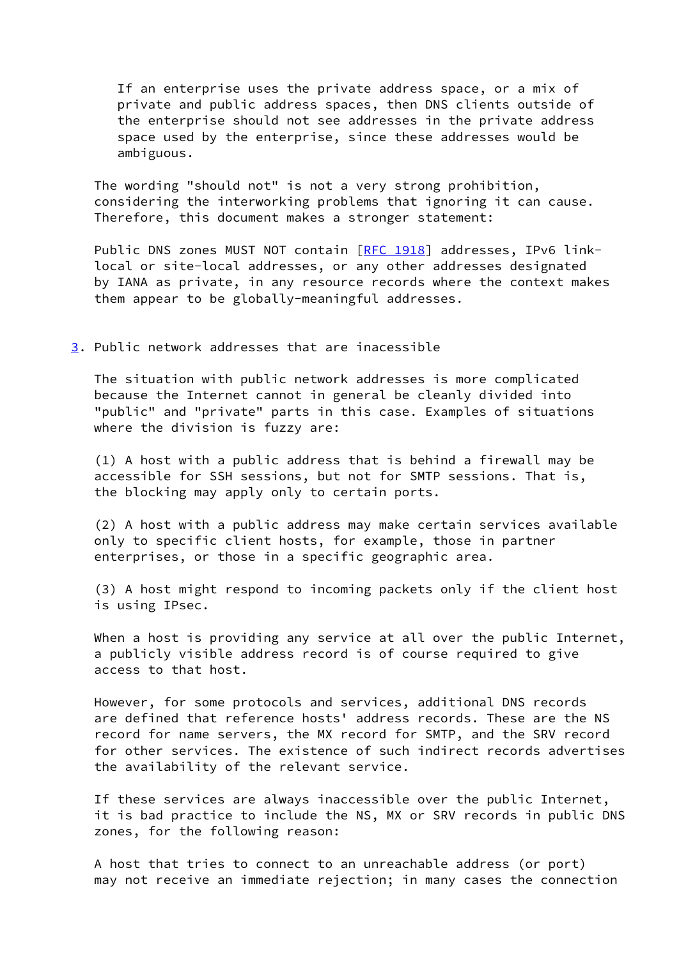If an enterprise uses the private address space, or a mix of private and public address spaces, then DNS clients outside of the enterprise should not see addresses in the private address space used by the enterprise, since these addresses would be ambiguous.

 The wording "should not" is not a very strong prohibition, considering the interworking problems that ignoring it can cause. Therefore, this document makes a stronger statement:

Public DNS zones MUST NOT contain [[RFC 1918\]](https://datatracker.ietf.org/doc/pdf/rfc1918) addresses, IPv6 link local or site-local addresses, or any other addresses designated by IANA as private, in any resource records where the context makes them appear to be globally-meaningful addresses.

## <span id="page-3-0"></span>[3](#page-3-0). Public network addresses that are inacessible

 The situation with public network addresses is more complicated because the Internet cannot in general be cleanly divided into "public" and "private" parts in this case. Examples of situations where the division is fuzzy are:

 (1) A host with a public address that is behind a firewall may be accessible for SSH sessions, but not for SMTP sessions. That is, the blocking may apply only to certain ports.

 (2) A host with a public address may make certain services available only to specific client hosts, for example, those in partner enterprises, or those in a specific geographic area.

 (3) A host might respond to incoming packets only if the client host is using IPsec.

When a host is providing any service at all over the public Internet, a publicly visible address record is of course required to give access to that host.

 However, for some protocols and services, additional DNS records are defined that reference hosts' address records. These are the NS record for name servers, the MX record for SMTP, and the SRV record for other services. The existence of such indirect records advertises the availability of the relevant service.

 If these services are always inaccessible over the public Internet, it is bad practice to include the NS, MX or SRV records in public DNS zones, for the following reason:

 A host that tries to connect to an unreachable address (or port) may not receive an immediate rejection; in many cases the connection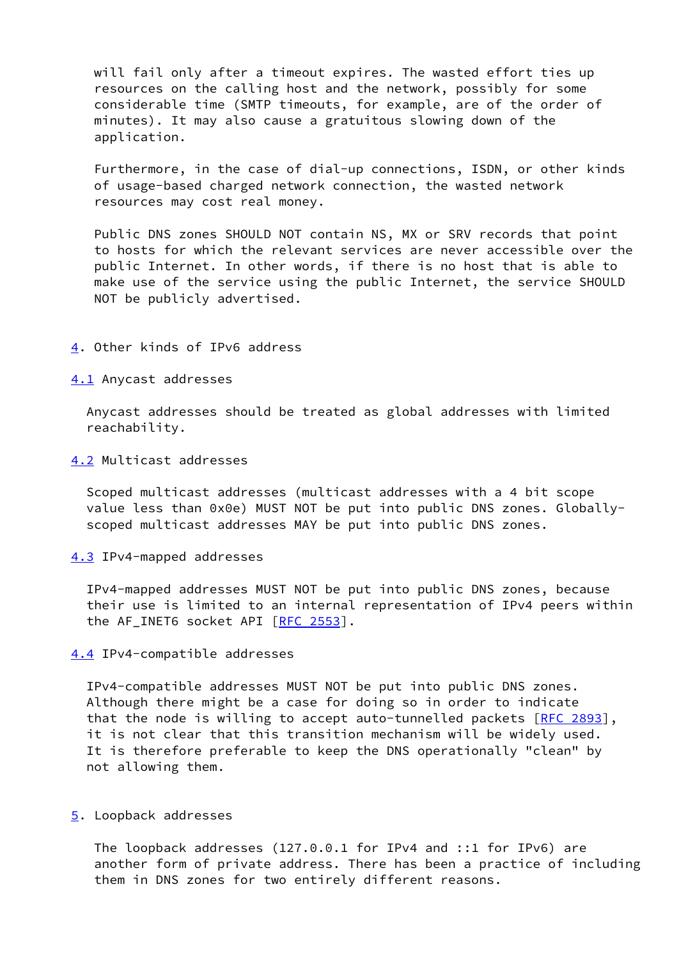will fail only after a timeout expires. The wasted effort ties up resources on the calling host and the network, possibly for some considerable time (SMTP timeouts, for example, are of the order of minutes). It may also cause a gratuitous slowing down of the application.

 Furthermore, in the case of dial-up connections, ISDN, or other kinds of usage-based charged network connection, the wasted network resources may cost real money.

 Public DNS zones SHOULD NOT contain NS, MX or SRV records that point to hosts for which the relevant services are never accessible over the public Internet. In other words, if there is no host that is able to make use of the service using the public Internet, the service SHOULD NOT be publicly advertised.

<span id="page-4-0"></span>[4](#page-4-0). Other kinds of IPv6 address

<span id="page-4-1"></span>[4.1](#page-4-1) Anycast addresses

 Anycast addresses should be treated as global addresses with limited reachability.

<span id="page-4-2"></span>[4.2](#page-4-2) Multicast addresses

 Scoped multicast addresses (multicast addresses with a 4 bit scope value less than 0x0e) MUST NOT be put into public DNS zones. Globally scoped multicast addresses MAY be put into public DNS zones.

<span id="page-4-3"></span>[4.3](#page-4-3) IPv4-mapped addresses

 IPv4-mapped addresses MUST NOT be put into public DNS zones, because their use is limited to an internal representation of IPv4 peers within the AF INET6 socket API [\[RFC 2553](https://datatracker.ietf.org/doc/pdf/rfc2553)].

<span id="page-4-4"></span>[4.4](#page-4-4) IPv4-compatible addresses

 IPv4-compatible addresses MUST NOT be put into public DNS zones. Although there might be a case for doing so in order to indicate that the node is willing to accept auto-tunnelled packets  $[RFC 2893]$  $[RFC 2893]$ , it is not clear that this transition mechanism will be widely used. It is therefore preferable to keep the DNS operationally "clean" by not allowing them.

<span id="page-4-5"></span>[5](#page-4-5). Loopback addresses

 The loopback addresses (127.0.0.1 for IPv4 and ::1 for IPv6) are another form of private address. There has been a practice of including them in DNS zones for two entirely different reasons.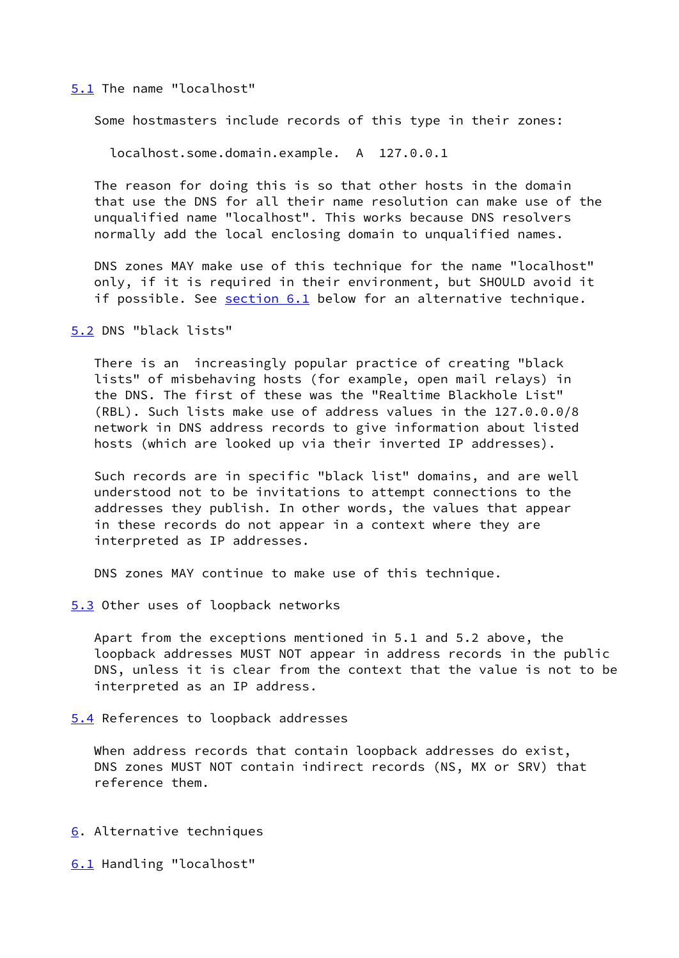## <span id="page-5-0"></span>[5.1](#page-5-0) The name "localhost"

Some hostmasters include records of this type in their zones:

localhost.some.domain.example. A 127.0.0.1

 The reason for doing this is so that other hosts in the domain that use the DNS for all their name resolution can make use of the unqualified name "localhost". This works because DNS resolvers normally add the local enclosing domain to unqualified names.

 DNS zones MAY make use of this technique for the name "localhost" only, if it is required in their environment, but SHOULD avoid it if possible. See [section 6.1](#page-5-1) below for an alternative technique.

<span id="page-5-2"></span>[5.2](#page-5-2) DNS "black lists"

 There is an increasingly popular practice of creating "black lists" of misbehaving hosts (for example, open mail relays) in the DNS. The first of these was the "Realtime Blackhole List" (RBL). Such lists make use of address values in the 127.0.0.0/8 network in DNS address records to give information about listed hosts (which are looked up via their inverted IP addresses).

 Such records are in specific "black list" domains, and are well understood not to be invitations to attempt connections to the addresses they publish. In other words, the values that appear in these records do not appear in a context where they are interpreted as IP addresses.

DNS zones MAY continue to make use of this technique.

<span id="page-5-3"></span>[5.3](#page-5-3) Other uses of loopback networks

 Apart from the exceptions mentioned in 5.1 and 5.2 above, the loopback addresses MUST NOT appear in address records in the public DNS, unless it is clear from the context that the value is not to be interpreted as an IP address.

<span id="page-5-4"></span>[5.4](#page-5-4) References to loopback addresses

When address records that contain loopback addresses do exist, DNS zones MUST NOT contain indirect records (NS, MX or SRV) that reference them.

<span id="page-5-5"></span>[6](#page-5-5). Alternative techniques

<span id="page-5-1"></span>[6.1](#page-5-1) Handling "localhost"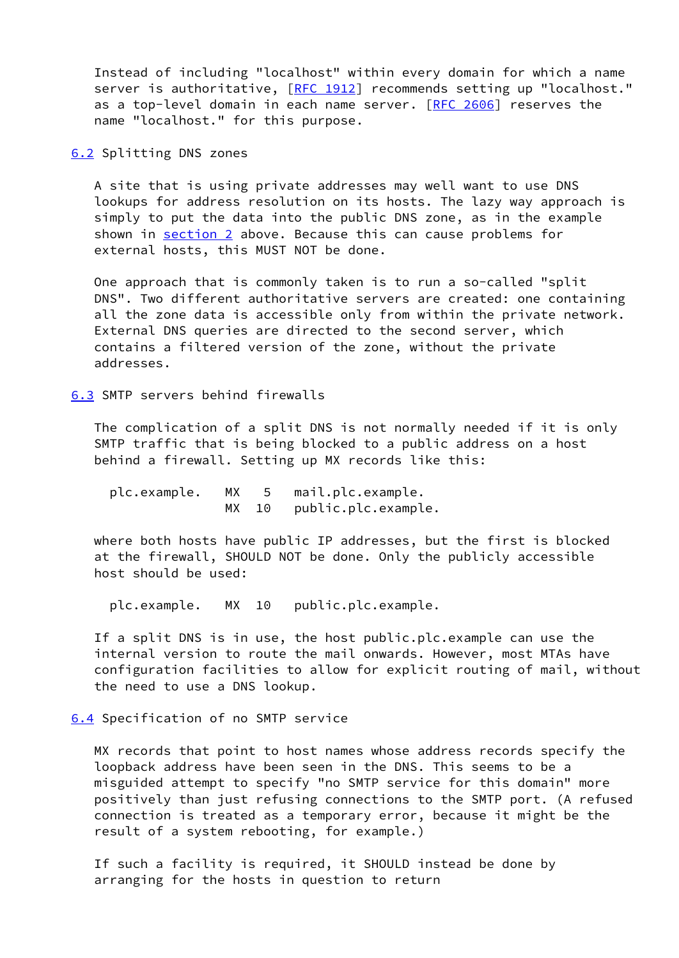Instead of including "localhost" within every domain for which a name server is authoritative, [\[RFC 1912](https://datatracker.ietf.org/doc/pdf/rfc1912)] recommends setting up "localhost." as a top-level domain in each name server. [[RFC 2606\]](https://datatracker.ietf.org/doc/pdf/rfc2606) reserves the name "localhost." for this purpose.

<span id="page-6-0"></span>[6.2](#page-6-0) Splitting DNS zones

 A site that is using private addresses may well want to use DNS lookups for address resolution on its hosts. The lazy way approach is simply to put the data into the public DNS zone, as in the example shown in [section 2](#page-2-0) above. Because this can cause problems for external hosts, this MUST NOT be done.

 One approach that is commonly taken is to run a so-called "split DNS". Two different authoritative servers are created: one containing all the zone data is accessible only from within the private network. External DNS queries are directed to the second server, which contains a filtered version of the zone, without the private addresses.

<span id="page-6-1"></span>[6.3](#page-6-1) SMTP servers behind firewalls

 The complication of a split DNS is not normally needed if it is only SMTP traffic that is being blocked to a public address on a host behind a firewall. Setting up MX records like this:

 plc.example. MX 5 mail.plc.example. MX 10 public.plc.example.

 where both hosts have public IP addresses, but the first is blocked at the firewall, SHOULD NOT be done. Only the publicly accessible host should be used:

plc.example. MX 10 public.plc.example.

 If a split DNS is in use, the host public.plc.example can use the internal version to route the mail onwards. However, most MTAs have configuration facilities to allow for explicit routing of mail, without the need to use a DNS lookup.

<span id="page-6-2"></span>[6.4](#page-6-2) Specification of no SMTP service

 MX records that point to host names whose address records specify the loopback address have been seen in the DNS. This seems to be a misguided attempt to specify "no SMTP service for this domain" more positively than just refusing connections to the SMTP port. (A refused connection is treated as a temporary error, because it might be the result of a system rebooting, for example.)

 If such a facility is required, it SHOULD instead be done by arranging for the hosts in question to return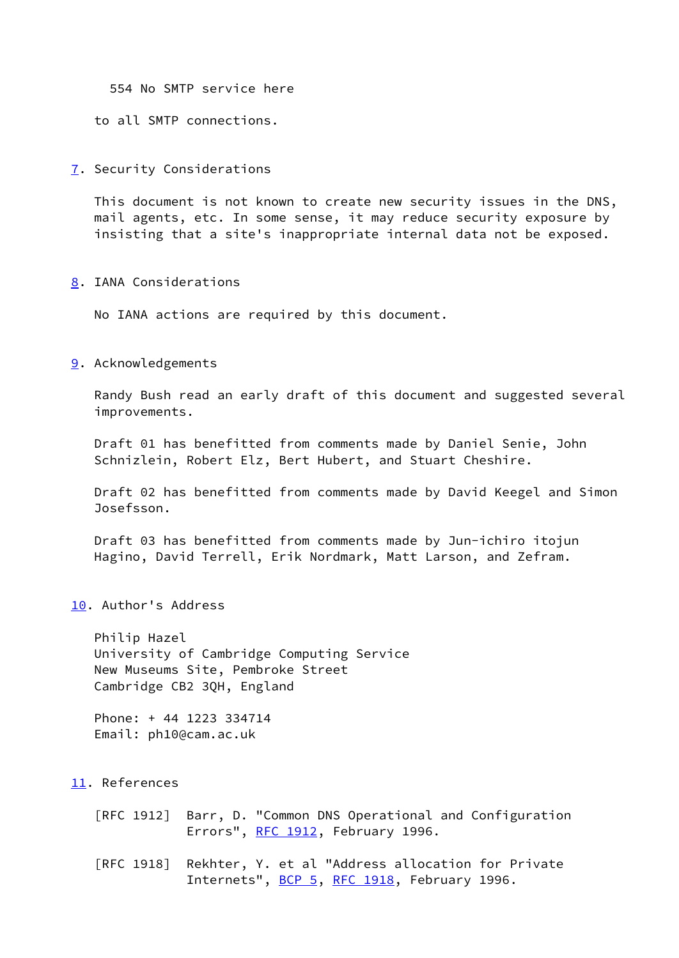554 No SMTP service here

to all SMTP connections.

<span id="page-7-0"></span>[7](#page-7-0). Security Considerations

 This document is not known to create new security issues in the DNS, mail agents, etc. In some sense, it may reduce security exposure by insisting that a site's inappropriate internal data not be exposed.

<span id="page-7-1"></span>[8](#page-7-1). IANA Considerations

No IANA actions are required by this document.

<span id="page-7-2"></span>[9](#page-7-2). Acknowledgements

 Randy Bush read an early draft of this document and suggested several improvements.

 Draft 01 has benefitted from comments made by Daniel Senie, John Schnizlein, Robert Elz, Bert Hubert, and Stuart Cheshire.

 Draft 02 has benefitted from comments made by David Keegel and Simon Josefsson.

 Draft 03 has benefitted from comments made by Jun-ichiro itojun Hagino, David Terrell, Erik Nordmark, Matt Larson, and Zefram.

<span id="page-7-3"></span>[10.](#page-7-3) Author's Address

 Philip Hazel University of Cambridge Computing Service New Museums Site, Pembroke Street Cambridge CB2 3QH, England

 Phone: + 44 1223 334714 Email: ph10@cam.ac.uk

<span id="page-7-4"></span>[11.](#page-7-4) References

 [RFC 1912] Barr, D. "Common DNS Operational and Configuration Errors", [RFC 1912](https://datatracker.ietf.org/doc/pdf/rfc1912), February 1996.

 [RFC 1918] Rekhter, Y. et al "Address allocation for Private Internets", [BCP 5](https://datatracker.ietf.org/doc/pdf/bcp5), [RFC 1918,](https://datatracker.ietf.org/doc/pdf/rfc1918) February 1996.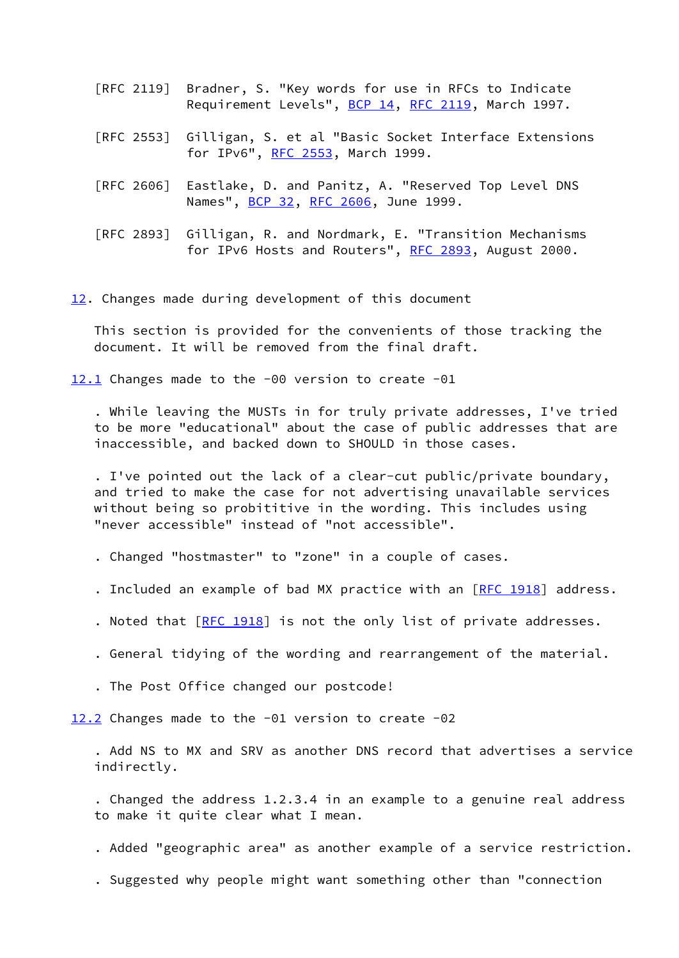- [RFC 2119] Bradner, S. "Key words for use in RFCs to Indicate Requirement Levels", [BCP 14](https://datatracker.ietf.org/doc/pdf/bcp14), [RFC 2119](https://datatracker.ietf.org/doc/pdf/rfc2119), March 1997.
- [RFC 2553] Gilligan, S. et al "Basic Socket Interface Extensions for IPv6", [RFC 2553,](https://datatracker.ietf.org/doc/pdf/rfc2553) March 1999.
- [RFC 2606] Eastlake, D. and Panitz, A. "Reserved Top Level DNS Names", **[BCP 32](https://datatracker.ietf.org/doc/pdf/bcp32), RFC 2606**, June 1999.
- [RFC 2893] Gilligan, R. and Nordmark, E. "Transition Mechanisms for IPv6 Hosts and Routers", [RFC 2893](https://datatracker.ietf.org/doc/pdf/rfc2893), August 2000.

<span id="page-8-0"></span>[12.](#page-8-0) Changes made during development of this document

 This section is provided for the convenients of those tracking the document. It will be removed from the final draft.

<span id="page-8-1"></span>[12.1](#page-8-1) Changes made to the -00 version to create -01

 . While leaving the MUSTs in for truly private addresses, I've tried to be more "educational" about the case of public addresses that are inaccessible, and backed down to SHOULD in those cases.

 . I've pointed out the lack of a clear-cut public/private boundary, and tried to make the case for not advertising unavailable services without being so probititive in the wording. This includes using "never accessible" instead of "not accessible".

- . Changed "hostmaster" to "zone" in a couple of cases.
- . Included an example of bad MX practice with an [\[RFC 1918](https://datatracker.ietf.org/doc/pdf/rfc1918)] address.
- . Noted that [\[RFC 1918](https://datatracker.ietf.org/doc/pdf/rfc1918)] is not the only list of private addresses.
- . General tidying of the wording and rearrangement of the material.
- . The Post Office changed our postcode!

<span id="page-8-2"></span>[12.2](#page-8-2) Changes made to the -01 version to create -02

 . Add NS to MX and SRV as another DNS record that advertises a service indirectly.

 . Changed the address 1.2.3.4 in an example to a genuine real address to make it quite clear what I mean.

- . Added "geographic area" as another example of a service restriction.
- . Suggested why people might want something other than "connection